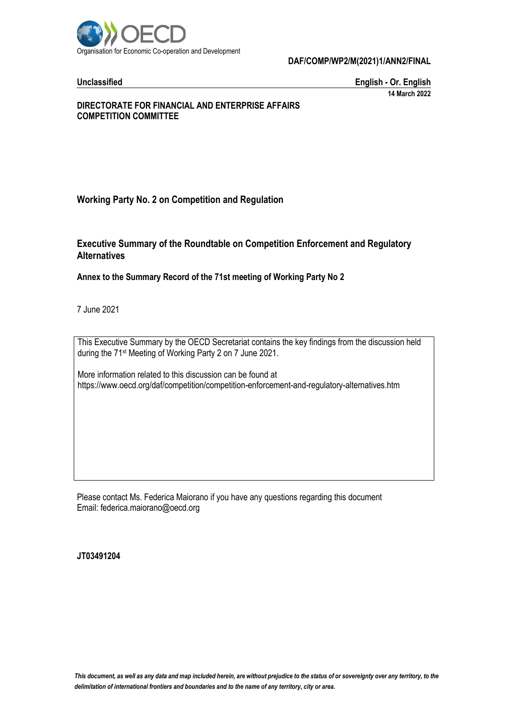

**Unclassified English - Or. English 14 March 2022**

#### **DIRECTORATE FOR FINANCIAL AND ENTERPRISE AFFAIRS COMPETITION COMMITTEE**

# **Working Party No. 2 on Competition and Regulation**

# **Executive Summary of the Roundtable on Competition Enforcement and Regulatory Alternatives**

### **Annex to the Summary Record of the 71st meeting of Working Party No 2**

7 June 2021

This Executive Summary by the OECD Secretariat contains the key findings from the discussion held during the 71st Meeting of Working Party 2 on 7 June 2021.

More information related to this discussion can be found at https://www.oecd.org/daf/competition/competition-enforcement-and-regulatory-alternatives.htm

Please contact Ms. Federica Maiorano if you have any questions regarding this document Email: federica.maiorano@oecd.org

**JT03491204**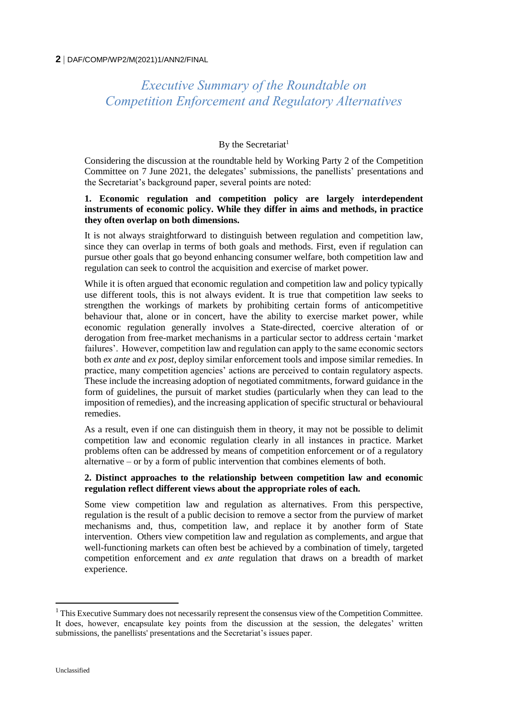# *Executive Summary of the Roundtable on Competition Enforcement and Regulatory Alternatives*

## By the Secretariat<sup>1</sup>

Considering the discussion at the roundtable held by Working Party 2 of the Competition Committee on 7 June 2021, the delegates' submissions, the panellists' presentations and the Secretariat's background paper, several points are noted:

#### **1. Economic regulation and competition policy are largely interdependent instruments of economic policy. While they differ in aims and methods, in practice they often overlap on both dimensions.**

It is not always straightforward to distinguish between regulation and competition law, since they can overlap in terms of both goals and methods. First, even if regulation can pursue other goals that go beyond enhancing consumer welfare, both competition law and regulation can seek to control the acquisition and exercise of market power.

While it is often argued that economic regulation and competition law and policy typically use different tools, this is not always evident. It is true that competition law seeks to strengthen the workings of markets by prohibiting certain forms of anticompetitive behaviour that, alone or in concert, have the ability to exercise market power, while economic regulation generally involves a State-directed, coercive alteration of or derogation from free-market mechanisms in a particular sector to address certain 'market failures'. However, competition law and regulation can apply to the same economic sectors both *ex ante* and *ex post*, deploy similar enforcement tools and impose similar remedies. In practice, many competition agencies' actions are perceived to contain regulatory aspects. These include the increasing adoption of negotiated commitments, forward guidance in the form of guidelines, the pursuit of market studies (particularly when they can lead to the imposition of remedies), and the increasing application of specific structural or behavioural remedies.

As a result, even if one can distinguish them in theory, it may not be possible to delimit competition law and economic regulation clearly in all instances in practice. Market problems often can be addressed by means of competition enforcement or of a regulatory alternative – or by a form of public intervention that combines elements of both.

#### **2. Distinct approaches to the relationship between competition law and economic regulation reflect different views about the appropriate roles of each.**

Some view competition law and regulation as alternatives. From this perspective, regulation is the result of a public decision to remove a sector from the purview of market mechanisms and, thus, competition law, and replace it by another form of State intervention. Others view competition law and regulation as complements, and argue that well-functioning markets can often best be achieved by a combination of timely, targeted competition enforcement and *ex ante* regulation that draws on a breadth of market experience.

 $\overline{a}$ 

 $<sup>1</sup>$  This Executive Summary does not necessarily represent the consensus view of the Competition Committee.</sup> It does, however, encapsulate key points from the discussion at the session, the delegates' written submissions, the panellists' presentations and the Secretariat's issues paper.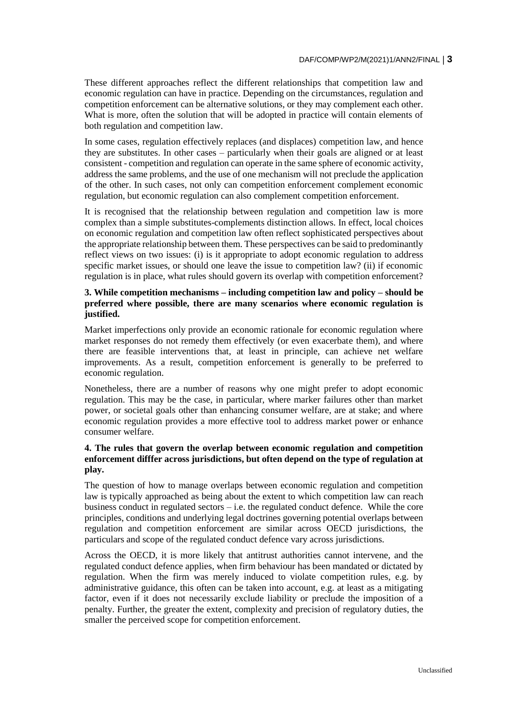These different approaches reflect the different relationships that competition law and economic regulation can have in practice. Depending on the circumstances, regulation and competition enforcement can be alternative solutions, or they may complement each other. What is more, often the solution that will be adopted in practice will contain elements of both regulation and competition law.

In some cases, regulation effectively replaces (and displaces) competition law, and hence they are substitutes. In other cases – particularly when their goals are aligned or at least consistent - competition and regulation can operate in the same sphere of economic activity, address the same problems, and the use of one mechanism will not preclude the application of the other. In such cases, not only can competition enforcement complement economic regulation, but economic regulation can also complement competition enforcement.

It is recognised that the relationship between regulation and competition law is more complex than a simple substitutes-complements distinction allows. In effect, local choices on economic regulation and competition law often reflect sophisticated perspectives about the appropriate relationship between them. These perspectives can be said to predominantly reflect views on two issues: (i) is it appropriate to adopt economic regulation to address specific market issues, or should one leave the issue to competition law? (ii) if economic regulation is in place, what rules should govern its overlap with competition enforcement?

#### **3. While competition mechanisms – including competition law and policy – should be preferred where possible, there are many scenarios where economic regulation is justified.**

Market imperfections only provide an economic rationale for economic regulation where market responses do not remedy them effectively (or even exacerbate them), and where there are feasible interventions that, at least in principle, can achieve net welfare improvements. As a result, competition enforcement is generally to be preferred to economic regulation.

Nonetheless, there are a number of reasons why one might prefer to adopt economic regulation. This may be the case, in particular, where marker failures other than market power, or societal goals other than enhancing consumer welfare, are at stake; and where economic regulation provides a more effective tool to address market power or enhance consumer welfare.

#### **4. The rules that govern the overlap between economic regulation and competition enforcement difffer across jurisdictions, but often depend on the type of regulation at play.**

The question of how to manage overlaps between economic regulation and competition law is typically approached as being about the extent to which competition law can reach business conduct in regulated sectors – i.e. the regulated conduct defence. While the core principles, conditions and underlying legal doctrines governing potential overlaps between regulation and competition enforcement are similar across OECD jurisdictions, the particulars and scope of the regulated conduct defence vary across jurisdictions.

Across the OECD, it is more likely that antitrust authorities cannot intervene, and the regulated conduct defence applies, when firm behaviour has been mandated or dictated by regulation. When the firm was merely induced to violate competition rules, e.g. by administrative guidance, this often can be taken into account, e.g. at least as a mitigating factor, even if it does not necessarily exclude liability or preclude the imposition of a penalty. Further, the greater the extent, complexity and precision of regulatory duties, the smaller the perceived scope for competition enforcement.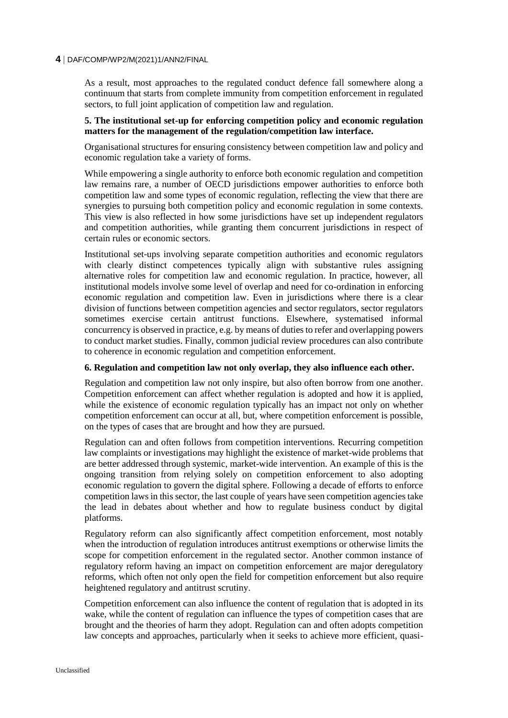As a result, most approaches to the regulated conduct defence fall somewhere along a continuum that starts from complete immunity from competition enforcement in regulated sectors, to full joint application of competition law and regulation.

#### **5. The institutional set-up for enforcing competition policy and economic regulation matters for the management of the regulation/competition law interface.**

Organisational structures for ensuring consistency between competition law and policy and economic regulation take a variety of forms.

While empowering a single authority to enforce both economic regulation and competition law remains rare, a number of OECD jurisdictions empower authorities to enforce both competition law and some types of economic regulation, reflecting the view that there are synergies to pursuing both competition policy and economic regulation in some contexts. This view is also reflected in how some jurisdictions have set up independent regulators and competition authorities, while granting them concurrent jurisdictions in respect of certain rules or economic sectors.

Institutional set-ups involving separate competition authorities and economic regulators with clearly distinct competences typically align with substantive rules assigning alternative roles for competition law and economic regulation. In practice, however, all institutional models involve some level of overlap and need for co-ordination in enforcing economic regulation and competition law. Even in jurisdictions where there is a clear division of functions between competition agencies and sector regulators, sector regulators sometimes exercise certain antitrust functions. Elsewhere, systematised informal concurrency is observed in practice, e.g. by means of duties to refer and overlapping powers to conduct market studies. Finally, common judicial review procedures can also contribute to coherence in economic regulation and competition enforcement.

#### **6. Regulation and competition law not only overlap, they also influence each other.**

Regulation and competition law not only inspire, but also often borrow from one another. Competition enforcement can affect whether regulation is adopted and how it is applied, while the existence of economic regulation typically has an impact not only on whether competition enforcement can occur at all, but, where competition enforcement is possible, on the types of cases that are brought and how they are pursued.

Regulation can and often follows from competition interventions. Recurring competition law complaints or investigations may highlight the existence of market-wide problems that are better addressed through systemic, market-wide intervention. An example of this is the ongoing transition from relying solely on competition enforcement to also adopting economic regulation to govern the digital sphere. Following a decade of efforts to enforce competition laws in this sector, the last couple of years have seen competition agencies take the lead in debates about whether and how to regulate business conduct by digital platforms.

Regulatory reform can also significantly affect competition enforcement, most notably when the introduction of regulation introduces antitrust exemptions or otherwise limits the scope for competition enforcement in the regulated sector. Another common instance of regulatory reform having an impact on competition enforcement are major deregulatory reforms, which often not only open the field for competition enforcement but also require heightened regulatory and antitrust scrutiny.

Competition enforcement can also influence the content of regulation that is adopted in its wake, while the content of regulation can influence the types of competition cases that are brought and the theories of harm they adopt. Regulation can and often adopts competition law concepts and approaches, particularly when it seeks to achieve more efficient, quasi